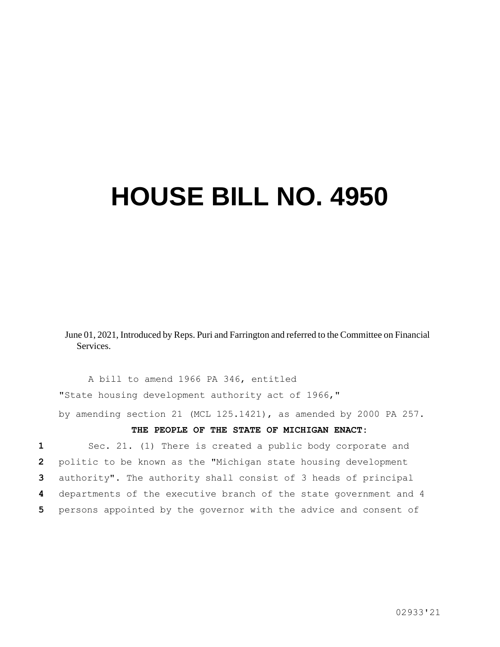## **HOUSE BILL NO. 4950**

June 01, 2021, Introduced by Reps. Puri and Farrington and referred to the Committee on Financial **Services** 

A bill to amend 1966 PA 346, entitled "State housing development authority act of 1966," by amending section 21 (MCL 125.1421), as amended by 2000 PA 257.

## **THE PEOPLE OF THE STATE OF MICHIGAN ENACT:**

 Sec. 21. (1) There is created a public body corporate and politic to be known as the "Michigan state housing development authority". The authority shall consist of 3 heads of principal departments of the executive branch of the state government and 4 persons appointed by the governor with the advice and consent of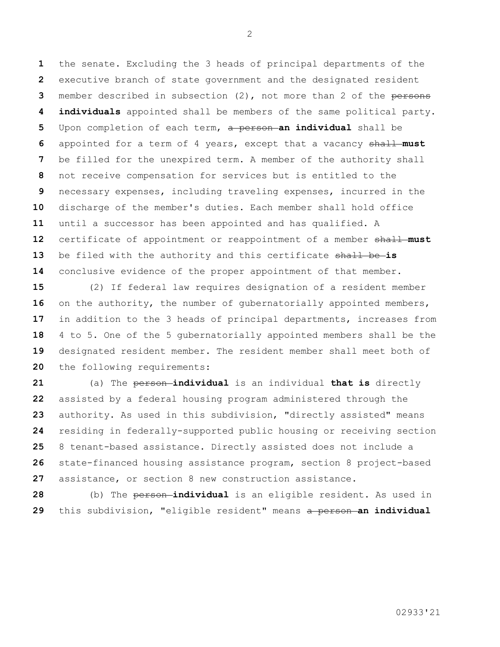the senate. Excluding the 3 heads of principal departments of the executive branch of state government and the designated resident member described in subsection (2), not more than 2 of the persons **individuals** appointed shall be members of the same political party. Upon completion of each term, a person **an individual** shall be appointed for a term of 4 years, except that a vacancy shall **must**  be filled for the unexpired term. A member of the authority shall not receive compensation for services but is entitled to the necessary expenses, including traveling expenses, incurred in the discharge of the member's duties. Each member shall hold office until a successor has been appointed and has qualified. A certificate of appointment or reappointment of a member shall **must**  13 be filed with the authority and this certificate shall be-is conclusive evidence of the proper appointment of that member.

 (2) If federal law requires designation of a resident member 16 on the authority, the number of qubernatorially appointed members, in addition to the 3 heads of principal departments, increases from 4 to 5. One of the 5 gubernatorially appointed members shall be the designated resident member. The resident member shall meet both of the following requirements:

 (a) The person **individual** is an individual **that is** directly assisted by a federal housing program administered through the authority. As used in this subdivision, "directly assisted" means residing in federally-supported public housing or receiving section 8 tenant-based assistance. Directly assisted does not include a state-financed housing assistance program, section 8 project-based assistance, or section 8 new construction assistance.

 (b) The **person-individual** is an eligible resident. As used in this subdivision, "eligible resident" means a person **an individual**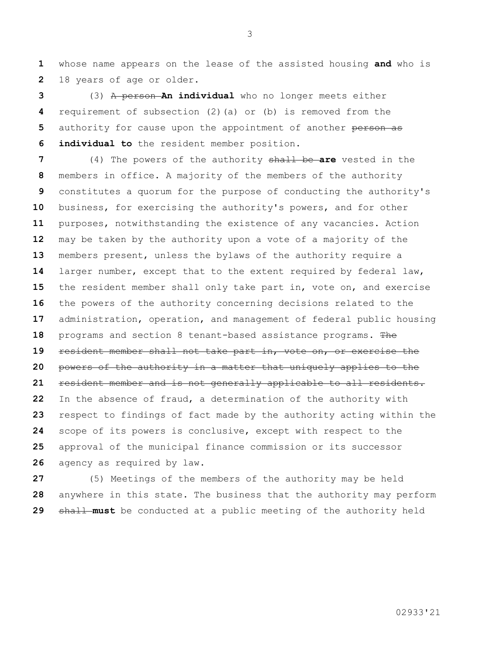whose name appears on the lease of the assisted housing **and** who is 18 years of age or older.

 (3) A person **An individual** who no longer meets either requirement of subsection (2)(a) or (b) is removed from the authority for cause upon the appointment of another person as **individual to** the resident member position.

 (4) The powers of the authority shall be **are** vested in the members in office. A majority of the members of the authority constitutes a quorum for the purpose of conducting the authority's business, for exercising the authority's powers, and for other purposes, notwithstanding the existence of any vacancies. Action may be taken by the authority upon a vote of a majority of the members present, unless the bylaws of the authority require a larger number, except that to the extent required by federal law, the resident member shall only take part in, vote on, and exercise the powers of the authority concerning decisions related to the administration, operation, and management of federal public housing programs and section 8 tenant-based assistance programs. The resident member shall not take part in, vote on, or exercise the powers of the authority in a matter that uniquely applies to the resident member and is not generally applicable to all residents. In the absence of fraud, a determination of the authority with respect to findings of fact made by the authority acting within the scope of its powers is conclusive, except with respect to the approval of the municipal finance commission or its successor agency as required by law.

 (5) Meetings of the members of the authority may be held anywhere in this state. The business that the authority may perform shall **must** be conducted at a public meeting of the authority held